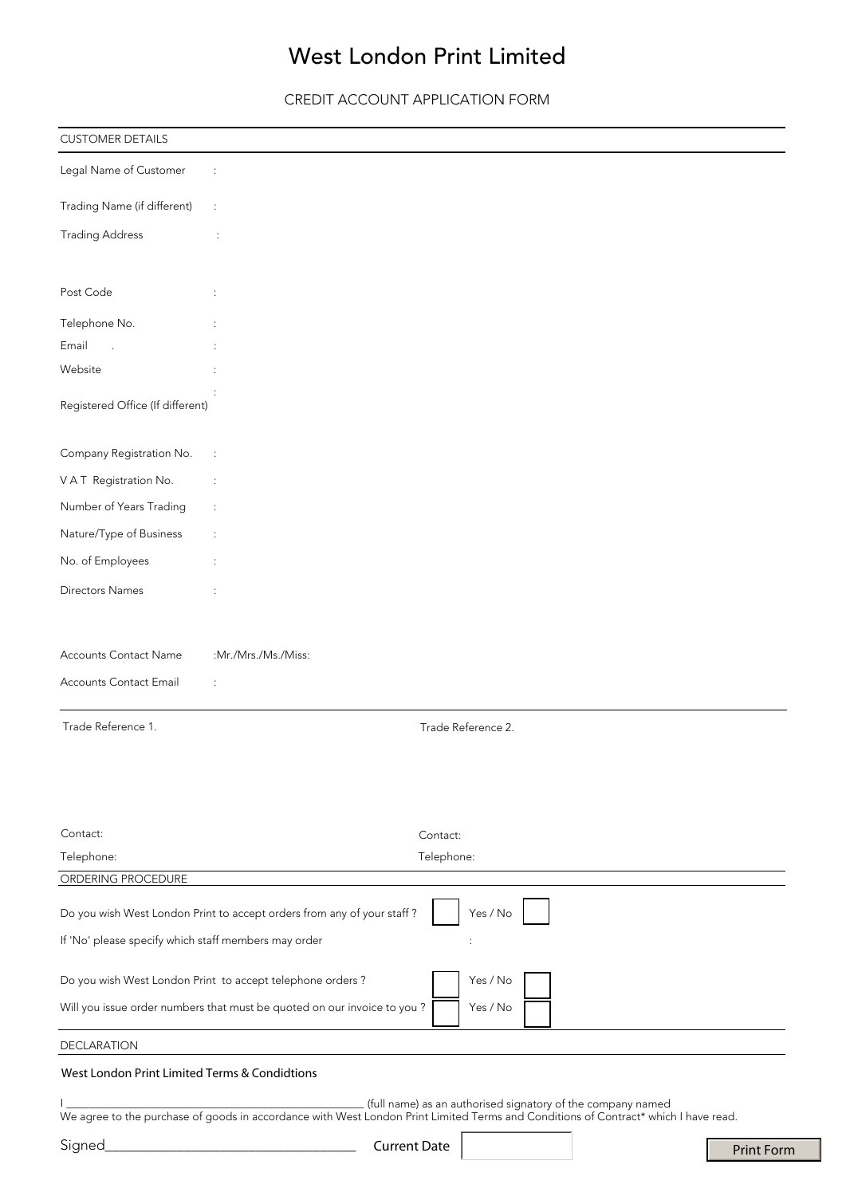# West London Print Limited

CREDIT ACCOUNT APPLICATION FORM

| <b>CUSTOMER DETAILS</b>                              |                                                                                                                                     |  |
|------------------------------------------------------|-------------------------------------------------------------------------------------------------------------------------------------|--|
| Legal Name of Customer                               |                                                                                                                                     |  |
| Trading Name (if different)                          | $\ddot{\cdot}$                                                                                                                      |  |
| <b>Trading Address</b>                               | ÷                                                                                                                                   |  |
| Post Code                                            |                                                                                                                                     |  |
| Telephone No.                                        |                                                                                                                                     |  |
| Email                                                |                                                                                                                                     |  |
| Website                                              |                                                                                                                                     |  |
| Registered Office (If different)                     |                                                                                                                                     |  |
| Company Registration No.                             | $\ddot{\cdot}$                                                                                                                      |  |
| VAT Registration No.                                 | ÷                                                                                                                                   |  |
| Number of Years Trading                              | $\ddot{\phantom{a}}$                                                                                                                |  |
| Nature/Type of Business                              |                                                                                                                                     |  |
| No. of Employees                                     |                                                                                                                                     |  |
| <b>Directors Names</b>                               |                                                                                                                                     |  |
| Accounts Contact Name                                | :Mr./Mrs./Ms./Miss:                                                                                                                 |  |
| Accounts Contact Email                               | ÷                                                                                                                                   |  |
| Trade Reference 1.                                   | Trade Reference 2.                                                                                                                  |  |
| Contact:                                             | Contact:                                                                                                                            |  |
| Telephone:                                           | Telephone:                                                                                                                          |  |
| ORDERING PROCEDURE                                   |                                                                                                                                     |  |
|                                                      | Yes / No<br>Do you wish West London Print to accept orders from any of your staff?                                                  |  |
| If 'No' please specify which staff members may order |                                                                                                                                     |  |
|                                                      | Do you wish West London Print to accept telephone orders?<br>Yes / No                                                               |  |
|                                                      | Will you issue order numbers that must be quoted on our invoice to you?<br>Yes / No                                                 |  |
| <b>DECLARATION</b>                                   |                                                                                                                                     |  |
| West London Print Limited Terms & Condidtions        |                                                                                                                                     |  |
|                                                      | (full name) as an authorised signatory of the company named                                                                         |  |
|                                                      | We agree to the purchase of goods in accordance with West London Print Limited Terms and Conditions of Contract* which I have read. |  |
| Signed                                               | <b>Current Date</b><br><b>Print Form</b>                                                                                            |  |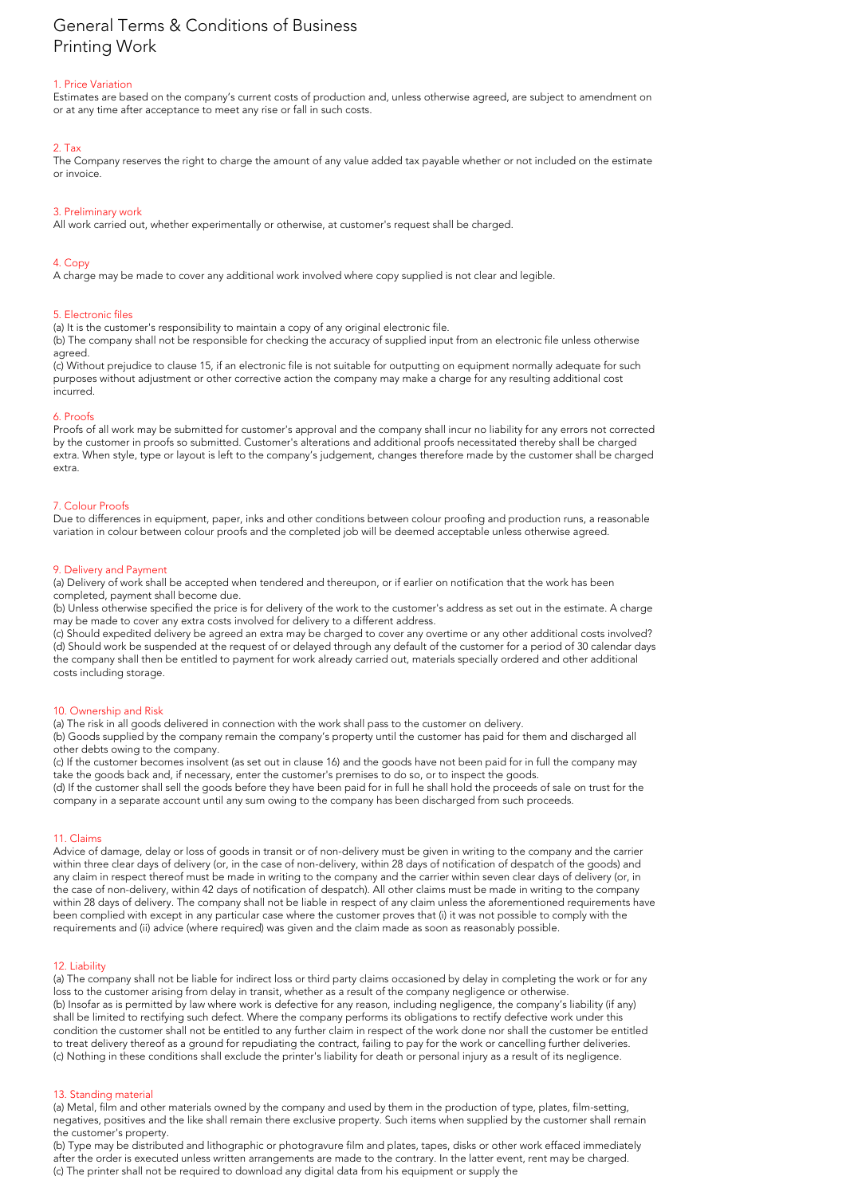# General Terms & Conditions of Business Printing Work

# 1. Price Variation

Estimates are based on the company's current costs of production and, unless otherwise agreed, are subject to amendment on or at any time after acceptance to meet any rise or fall in such costs.

# 2. Tax

The Company reserves the right to charge the amount of any value added tax payable whether or not included on the estimate or invoice.

# 3. Preliminary work

All work carried out, whether experimentally or otherwise, at customer's request shall be charged.

# 4. Copy

A charge may be made to cover any additional work involved where copy supplied is not clear and legible.

# 5. Electronic files

(a) It is the customer's responsibility to maintain a copy of any original electronic file.

(b) The company shall not be responsible for checking the accuracy of supplied input from an electronic file unless otherwise agreed.

(c) Without prejudice to clause 15, if an electronic file is not suitable for outputting on equipment normally adequate for such purposes without adjustment or other corrective action the company may make a charge for any resulting additional cost incurred.

# 6. Proofs

Proofs of all work may be submitted for customer's approval and the company shall incur no liability for any errors not corrected by the customer in proofs so submitted. Customer's alterations and additional proofs necessitated thereby shall be charged extra. When style, type or layout is left to the company's judgement, changes therefore made by the customer shall be charged extra.

# 7. Colour Proofs

Due to differences in equipment, paper, inks and other conditions between colour proofing and production runs, a reasonable variation in colour between colour proofs and the completed job will be deemed acceptable unless otherwise agreed.

# 9. Delivery and Payment

(a) Delivery of work shall be accepted when tendered and thereupon, or if earlier on notification that the work has been completed, payment shall become due.

(b) Unless otherwise specified the price is for delivery of the work to the customer's address as set out in the estimate. A charge may be made to cover any extra costs involved for delivery to a different address.

(c) Should expedited delivery be agreed an extra may be charged to cover any overtime or any other additional costs involved? (d) Should work be suspended at the request of or delayed through any default of the customer for a period of 30 calendar days the company shall then be entitled to payment for work already carried out, materials specially ordered and other additional costs including storage.

# 10. Ownership and Risk

(a) The risk in all goods delivered in connection with the work shall pass to the customer on delivery.

(b) Goods supplied by the company remain the company's property until the customer has paid for them and discharged all other debts owing to the company.

(c) If the customer becomes insolvent (as set out in clause 16) and the goods have not been paid for in full the company may take the goods back and, if necessary, enter the customer's premises to do so, or to inspect the goods.

(d) If the customer shall sell the goods before they have been paid for in full he shall hold the proceeds of sale on trust for the company in a separate account until any sum owing to the company has been discharged from such proceeds.

# 11. Claims

Advice of damage, delay or loss of goods in transit or of non-delivery must be given in writing to the company and the carrier within three clear days of delivery (or, in the case of non-delivery, within 28 days of notification of despatch of the goods) and any claim in respect thereof must be made in writing to the company and the carrier within seven clear days of delivery (or, in the case of non-delivery, within 42 days of notification of despatch). All other claims must be made in writing to the company within 28 days of delivery. The company shall not be liable in respect of any claim unless the aforementioned requirements have been complied with except in any particular case where the customer proves that (i) it was not possible to comply with the requirements and (ii) advice (where required) was given and the claim made as soon as reasonably possible.

# 12. Liability

(a) The company shall not be liable for indirect loss or third party claims occasioned by delay in completing the work or for any loss to the customer arising from delay in transit, whether as a result of the company negligence or otherwise. (b) Insofar as is permitted by law where work is defective for any reason, including negligence, the company's liability (if any) shall be limited to rectifying such defect. Where the company performs its obligations to rectify defective work under this condition the customer shall not be entitled to any further claim in respect of the work done nor shall the customer be entitled to treat delivery thereof as a ground for repudiating the contract, failing to pay for the work or cancelling further deliveries. (c) Nothing in these conditions shall exclude the printer's liability for death or personal injury as a result of its negligence.

# 13. Standing material

(a) Metal, film and other materials owned by the company and used by them in the production of type, plates, film-setting, negatives, positives and the like shall remain there exclusive property. Such items when supplied by the customer shall remain the customer's property.

(b) Type may be distributed and lithographic or photogravure film and plates, tapes, disks or other work effaced immediately after the order is executed unless written arrangements are made to the contrary. In the latter event, rent may be charged. (c) The printer shall not be required to download any digital data from his equipment or supply the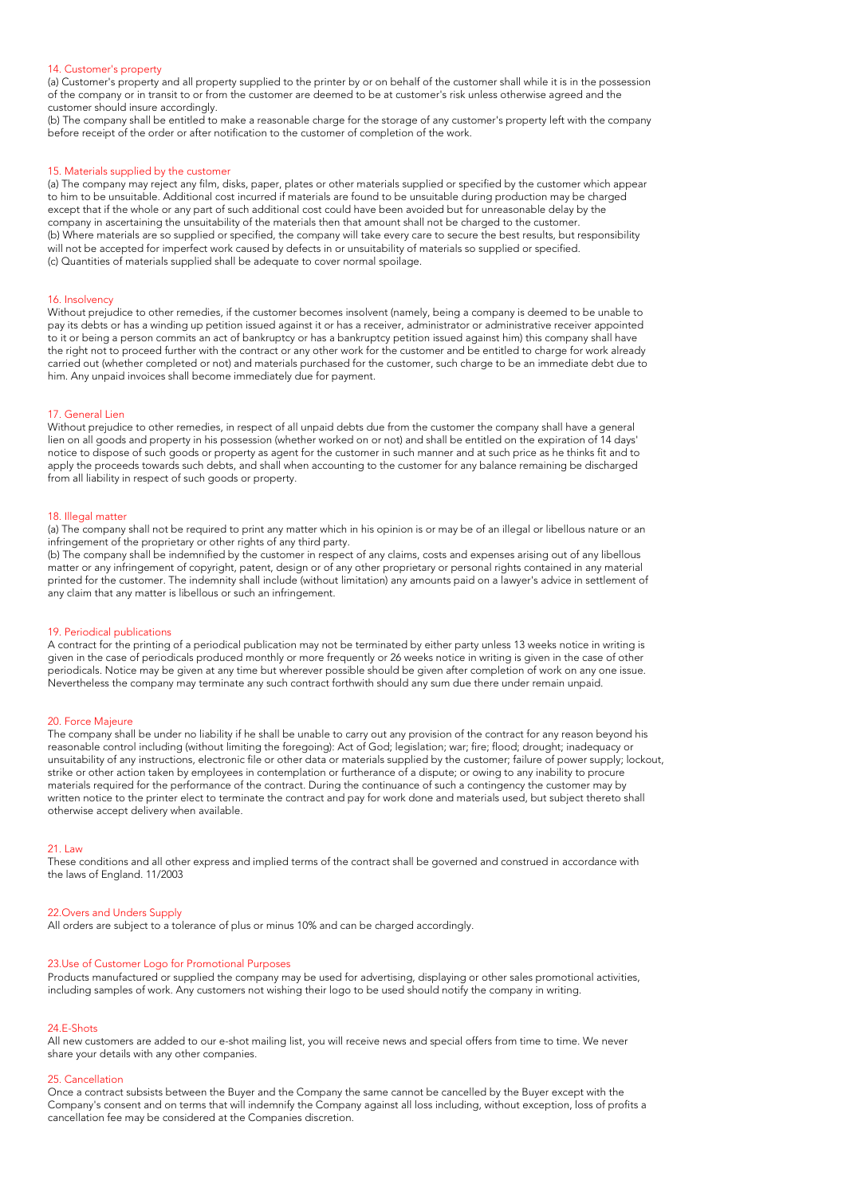#### 14. Customer's property

(a) Customer's property and all property supplied to the printer by or on behalf of the customer shall while it is in the possession of the company or in transit to or from the customer are deemed to be at customer's risk unless otherwise agreed and the customer should insure accordingly.

(b) The company shall be entitled to make a reasonable charge for the storage of any customer's property left with the company before receipt of the order or after notification to the customer of completion of the work.

#### 15. Materials supplied by the customer

(a) The company may reject any film, disks, paper, plates or other materials supplied or specified by the customer which appear to him to be unsuitable. Additional cost incurred if materials are found to be unsuitable during production may be charged except that if the whole or any part of such additional cost could have been avoided but for unreasonable delay by the company in ascertaining the unsuitability of the materials then that amount shall not be charged to the customer. (b) Where materials are so supplied or specified, the company will take every care to secure the best results, but responsibility will not be accepted for imperfect work caused by defects in or unsuitability of materials so supplied or specified. (c) Quantities of materials supplied shall be adequate to cover normal spoilage.

#### 16. Insolvency

Without prejudice to other remedies, if the customer becomes insolvent (namely, being a company is deemed to be unable to pay its debts or has a winding up petition issued against it or has a receiver, administrator or administrative receiver appointed to it or being a person commits an act of bankruptcy or has a bankruptcy petition issued against him) this company shall have the right not to proceed further with the contract or any other work for the customer and be entitled to charge for work already carried out (whether completed or not) and materials purchased for the customer, such charge to be an immediate debt due to him. Any unpaid invoices shall become immediately due for payment.

#### 17. General Lien

Without prejudice to other remedies, in respect of all unpaid debts due from the customer the company shall have a general lien on all goods and property in his possession (whether worked on or not) and shall be entitled on the expiration of 14 days' notice to dispose of such goods or property as agent for the customer in such manner and at such price as he thinks fit and to apply the proceeds towards such debts, and shall when accounting to the customer for any balance remaining be discharged from all liability in respect of such goods or property.

#### 18. Illegal matter

(a) The company shall not be required to print any matter which in his opinion is or may be of an illegal or libellous nature or an infringement of the proprietary or other rights of any third party.

(b) The company shall be indemnified by the customer in respect of any claims, costs and expenses arising out of any libellous matter or any infringement of copyright, patent, design or of any other proprietary or personal rights contained in any material printed for the customer. The indemnity shall include (without limitation) any amounts paid on a lawyer's advice in settlement of any claim that any matter is libellous or such an infringement.

#### 19. Periodical publications

A contract for the printing of a periodical publication may not be terminated by either party unless 13 weeks notice in writing is given in the case of periodicals produced monthly or more frequently or 26 weeks notice in writing is given in the case of other periodicals. Notice may be given at any time but wherever possible should be given after completion of work on any one issue. Nevertheless the company may terminate any such contract forthwith should any sum due there under remain unpaid.

#### 20. Force Majeure

The company shall be under no liability if he shall be unable to carry out any provision of the contract for any reason beyond his reasonable control including (without limiting the foregoing): Act of God; legislation; war; fire; flood; drought; inadequacy or unsuitability of any instructions, electronic file or other data or materials supplied by the customer; failure of power supply; lockout, strike or other action taken by employees in contemplation or furtherance of a dispute; or owing to any inability to procure materials required for the performance of the contract. During the continuance of such a contingency the customer may by written notice to the printer elect to terminate the contract and pay for work done and materials used, but subject thereto shall otherwise accept delivery when available.

#### 21. Law

These conditions and all other express and implied terms of the contract shall be governed and construed in accordance with the laws of England. 11/2003

#### 22.Overs and Unders Supply

All orders are subject to a tolerance of plus or minus 10% and can be charged accordingly.

#### 23.Use of Customer Logo for Promotional Purposes

Products manufactured or supplied the company may be used for advertising, displaying or other sales promotional activities, including samples of work. Any customers not wishing their logo to be used should notify the company in writing.

#### 24.E-Shots

All new customers are added to our e-shot mailing list, you will receive news and special offers from time to time. We never share your details with any other companies.

#### 25. Cancellation

Once a contract subsists between the Buyer and the Company the same cannot be cancelled by the Buyer except with the Company's consent and on terms that will indemnify the Company against all loss including, without exception, loss of profits a cancellation fee may be considered at the Companies discretion.